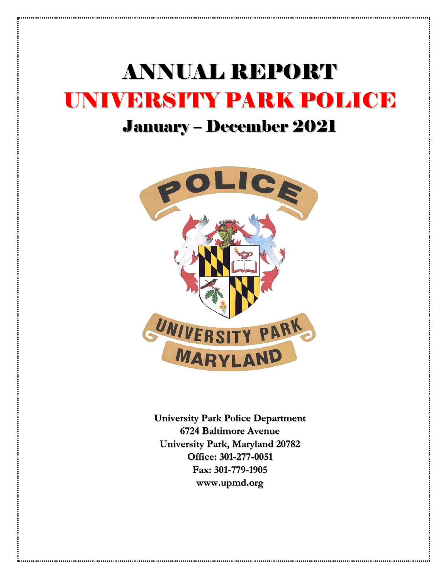# ANNUAL REPORT UNIVERSITY PARK POLICE

# January – December 2021



**University Park Police Department 6724 Baltimore Avenue University Park, Maryland 20782 Office: 301-277-0051 Fax: 301-779-1905 www.upmd.org**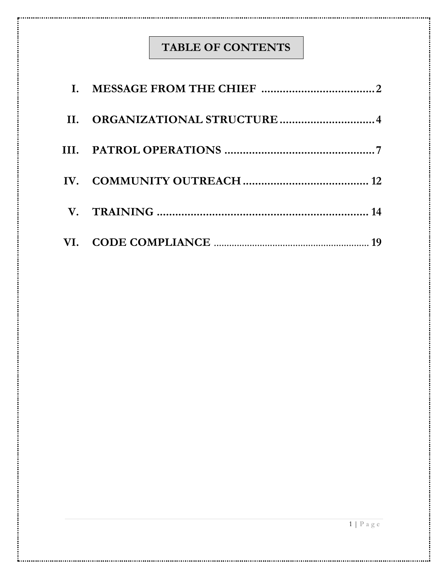# **TABLE OF CONTENTS**

| II. ORGANIZATIONAL STRUCTURE 4 |
|--------------------------------|
|                                |
|                                |
|                                |
|                                |

i.

....i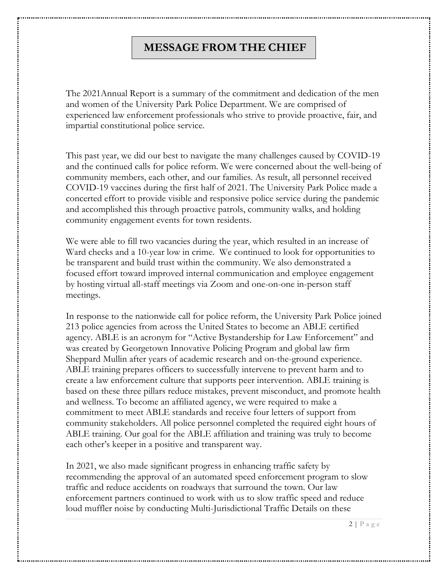#### **MESSAGE FROM THE CHIEF**

The 2021Annual Report is a summary of the commitment and dedication of the men and women of the University Park Police Department. We are comprised of experienced law enforcement professionals who strive to provide proactive, fair, and impartial constitutional police service.

This past year, we did our best to navigate the many challenges caused by COVID-19 and the continued calls for police reform. We were concerned about the well-being of community members, each other, and our families. As result, all personnel received COVID-19 vaccines during the first half of 2021. The University Park Police made a concerted effort to provide visible and responsive police service during the pandemic and accomplished this through proactive patrols, community walks, and holding community engagement events for town residents.

We were able to fill two vacancies during the year, which resulted in an increase of Ward checks and a 10-year low in crime. We continued to look for opportunities to be transparent and build trust within the community. We also demonstrated a focused effort toward improved internal communication and employee engagement by hosting virtual all-staff meetings via Zoom and one-on-one in-person staff meetings.

In response to the nationwide call for police reform, the University Park Police joined 213 police agencies from across the United States to become an ABLE certified agency. ABLE is an acronym for "Active Bystandership for Law Enforcement" and was created by Georgetown Innovative Policing Program and global law firm Sheppard Mullin after years of academic research and on-the-ground experience. ABLE training prepares officers to successfully intervene to prevent harm and to create a law enforcement culture that supports peer intervention. ABLE training is based on these three pillars reduce mistakes, prevent misconduct, and promote health and wellness. To become an affiliated agency, we were required to make a commitment to meet ABLE standards and receive four letters of support from community stakeholders. All police personnel completed the required eight hours of ABLE training. Our goal for the ABLE affiliation and training was truly to become each other's keeper in a positive and transparent way.

In 2021, we also made significant progress in enhancing traffic safety by recommending the approval of an automated speed enforcement program to slow traffic and reduce accidents on roadways that surround the town. Our law enforcement partners continued to work with us to slow traffic speed and reduce loud muffler noise by conducting Multi-Jurisdictional Traffic Details on these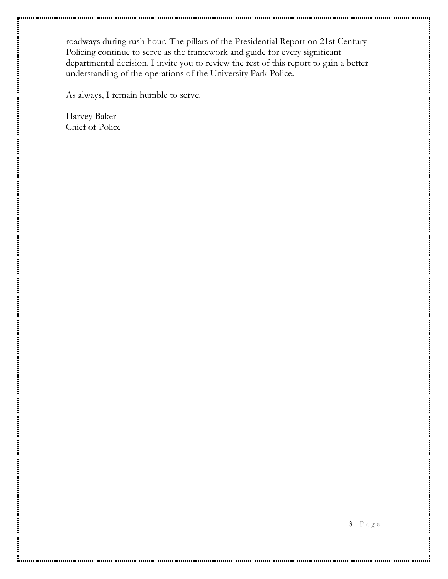roadways during rush hour. The pillars of the Presidential Report on 21st Century Policing continue to serve as the framework and guide for every significant departmental decision. I invite you to review the rest of this report to gain a better understanding of the operations of the University Park Police.

As always, I remain humble to serve.

Harvey Baker Chief of Police

÷.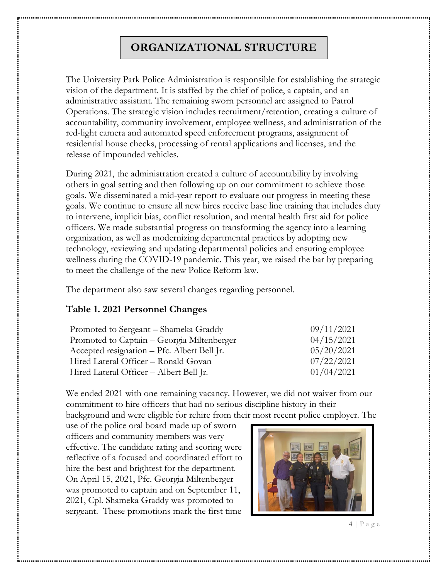# **ORGANIZATIONAL STRUCTURE**

The University Park Police Administration is responsible for establishing the strategic vision of the department. It is staffed by the chief of police, a captain, and an administrative assistant. The remaining sworn personnel are assigned to Patrol Operations. The strategic vision includes recruitment/retention, creating a culture of accountability, community involvement, employee wellness, and administration of the red-light camera and automated speed enforcement programs, assignment of residential house checks, processing of rental applications and licenses, and the release of impounded vehicles.

During 2021, the administration created a culture of accountability by involving others in goal setting and then following up on our commitment to achieve those goals. We disseminated a mid-year report to evaluate our progress in meeting these goals. We continue to ensure all new hires receive base line training that includes duty to intervene, implicit bias, conflict resolution, and mental health first aid for police officers. We made substantial progress on transforming the agency into a learning organization, as well as modernizing departmental practices by adopting new technology, reviewing and updating departmental policies and ensuring employee wellness during the COVID-19 pandemic. This year, we raised the bar by preparing to meet the challenge of the new Police Reform law.

The department also saw several changes regarding personnel.

#### **Table 1. 2021 Personnel Changes**

| Promoted to Sergeant – Shameka Graddy       | 09/11/2021 |
|---------------------------------------------|------------|
| Promoted to Captain – Georgia Miltenberger  | 04/15/2021 |
| Accepted resignation – Pfc. Albert Bell Jr. | 05/20/2021 |
| Hired Lateral Officer - Ronald Govan        | 07/22/2021 |
| Hired Lateral Officer – Albert Bell Jr.     | 01/04/2021 |

We ended 2021 with one remaining vacancy. However, we did not waiver from our commitment to hire officers that had no serious discipline history in their

background and were eligible for rehire from their most recent police employer. The

use of the police oral board made up of sworn officers and community members was very effective. The candidate rating and scoring were reflective of a focused and coordinated effort to hire the best and brightest for the department. On April 15, 2021, Pfc. Georgia Miltenberger was promoted to captain and on September 11, 2021, Cpl. Shameka Graddy was promoted to sergeant. These promotions mark the first time



 $4 | P a g e$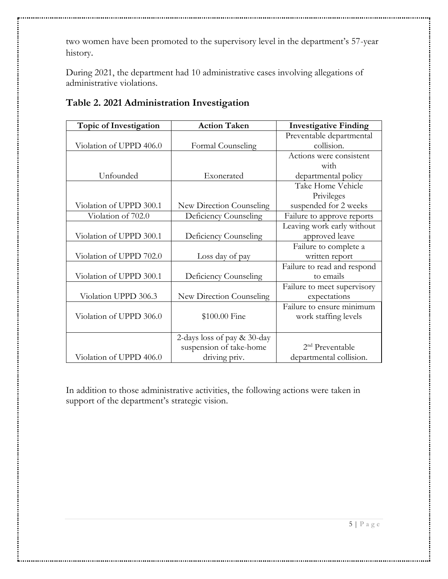two women have been promoted to the supervisory level in the department's 57-year history.

During 2021, the department had 10 administrative cases involving allegations of administrative violations.

| <b>Topic of Investigation</b> | <b>Action Taken</b>            | <b>Investigative Finding</b> |
|-------------------------------|--------------------------------|------------------------------|
|                               |                                | Preventable departmental     |
| Violation of UPPD 406.0       | Formal Counseling              | collision.                   |
|                               |                                | Actions were consistent      |
|                               |                                | with                         |
| Unfounded                     | Exonerated                     | departmental policy          |
|                               |                                | Take Home Vehicle            |
|                               |                                | Privileges                   |
| Violation of UPPD 300.1       | New Direction Counseling       | suspended for 2 weeks        |
| Violation of 702.0            | Deficiency Counseling          | Failure to approve reports   |
|                               |                                | Leaving work early without   |
| Violation of UPPD 300.1       | Deficiency Counseling          | approved leave               |
|                               |                                | Failure to complete a        |
| Violation of UPPD 702.0       | Loss day of pay                | written report               |
|                               |                                | Failure to read and respond  |
| Violation of UPPD 300.1       | Deficiency Counseling          | to emails                    |
|                               |                                | Failure to meet supervisory  |
| Violation UPPD 306.3          | New Direction Counseling       | expectations                 |
|                               |                                | Failure to ensure minimum    |
| Violation of UPPD 306.0       | \$100.00 Fine                  | work staffing levels         |
|                               |                                |                              |
|                               | 2-days loss of pay $& 30$ -day |                              |
|                               | suspension of take-home        | 2 <sup>nd</sup> Preventable  |
| Violation of UPPD 406.0       | driving priv.                  | departmental collision.      |

#### **Table 2. 2021 Administration Investigation**

In addition to those administrative activities, the following actions were taken in support of the department's strategic vision.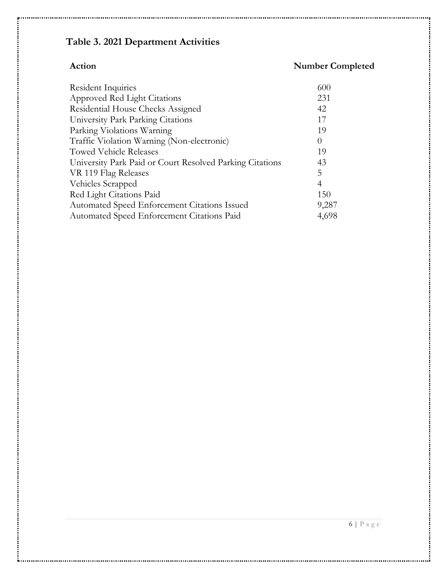# **Table 3. 2021 Department Activities**

÷.

# **Action Number Completed**

| Resident Inquiries                                       | 600      |
|----------------------------------------------------------|----------|
| Approved Red Light Citations                             | 231      |
| Residential House Checks Assigned                        | 42       |
| University Park Parking Citations                        | 17       |
| Parking Violations Warning                               | 19       |
| Traffic Violation Warning (Non-electronic)               | $\Omega$ |
| <b>Towed Vehicle Releases</b>                            | 19       |
| University Park Paid or Court Resolved Parking Citations | 43       |
| VR 119 Flag Releases                                     | 5        |
| Vehicles Scrapped                                        | 4        |
| Red Light Citations Paid                                 | 150      |
| Automated Speed Enforcement Citations Issued             | 9,287    |
| Automated Speed Enforcement Citations Paid               | 4,698    |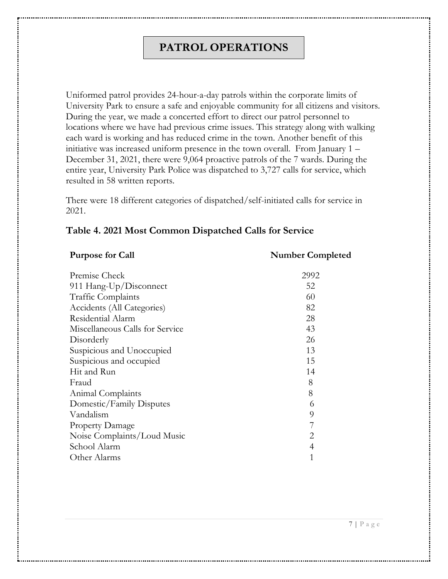### **PATROL OPERATIONS**

Uniformed patrol provides 24-hour-a-day patrols within the corporate limits of University Park to ensure a safe and enjoyable community for all citizens and visitors. During the year, we made a concerted effort to direct our patrol personnel to locations where we have had previous crime issues. This strategy along with walking each ward is working and has reduced crime in the town. Another benefit of this initiative was increased uniform presence in the town overall. From January 1 – December 31, 2021, there were 9,064 proactive patrols of the 7 wards. During the entire year, University Park Police was dispatched to 3,727 calls for service, which resulted in 58 written reports.

There were 18 different categories of dispatched/self-initiated calls for service in 2021.

#### **Table 4. 2021 Most Common Dispatched Calls for Service**

#### **Purpose for Call Number Completed** Premise Check 2992 911 Hang-Up/Disconnect 52 Traffic Complaints 60 Accidents (All Categories) 82 Residential Alarm 28 Miscellaneous Calls for Service 43 Disorderly 26 Suspicious and Unoccupied 13 Suspicious and occupied 15 Hit and Run 14 Fraud 8 Animal Complaints 8 Domestic/Family Disputes 6 Vandalism 9 Property Damage 7 Noise Complaints/Loud Music 2 School Alarm 4 Other Alarms 1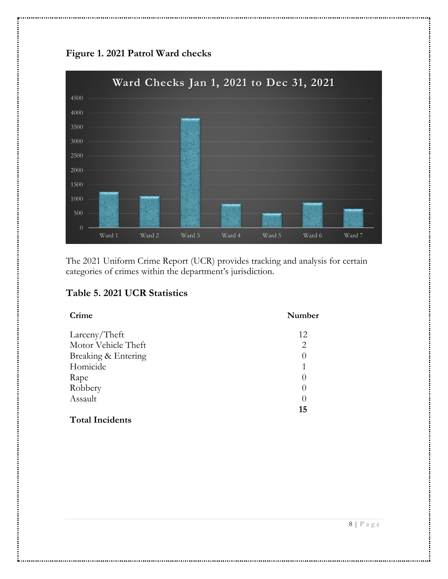



The 2021 Uniform Crime Report (UCR) provides tracking and analysis for certain categories of crimes within the department's jurisdiction.

#### **Table 5. 2021 UCR Statistics**

÷.

| Crime                  | Number           |
|------------------------|------------------|
| Larceny/Theft          | 12               |
| Motor Vehicle Theft    | $\overline{2}$   |
| Breaking & Entering    | 0                |
| Homicide               | 1                |
| Rape                   | $\left( \right)$ |
| Robbery                | $\left( \right)$ |
| Assault                | 0                |
| <b>Total Incidents</b> | 15               |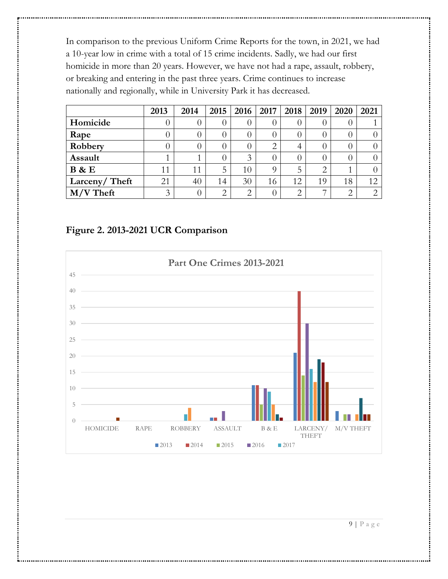In comparison to the previous Uniform Crime Reports for the town, in 2021, we had a 10-year low in crime with a total of 15 crime incidents. Sadly, we had our first homicide in more than 20 years. However, we have not had a rape, assault, robbery, or breaking and entering in the past three years. Crime continues to increase nationally and regionally, while in University Park it has decreased.

|               | 2013 | 2014     | 2015 | 2016 | $\mid$ 2017 $\mid$ | 2018 | 2019 | 2020             | 2021                        |
|---------------|------|----------|------|------|--------------------|------|------|------------------|-----------------------------|
| Homicide      | O    |          |      |      |                    |      |      |                  |                             |
| Rape          | O    |          |      |      |                    |      |      | 0                |                             |
| Robbery       | 0    |          |      |      | ⌒                  |      |      |                  |                             |
| Assault       |      |          |      | 3    |                    |      |      | $\left( \right)$ |                             |
| <b>B</b> & E  | 11   | 11       | 5    | 10   |                    | 5    | ⌒    |                  |                             |
| Larceny/Theft | 21   | 40       | 14   | 30   | 16                 | 12.  | 19   | 18               | 12                          |
| $M/V$ Theft   | 3    | $^{(1)}$ | ⌒    | ⌒    |                    | ⌒    |      | ⌒                | $\mathcal{D}_{\mathcal{L}}$ |

#### **Figure 2. 2013-2021 UCR Comparison**

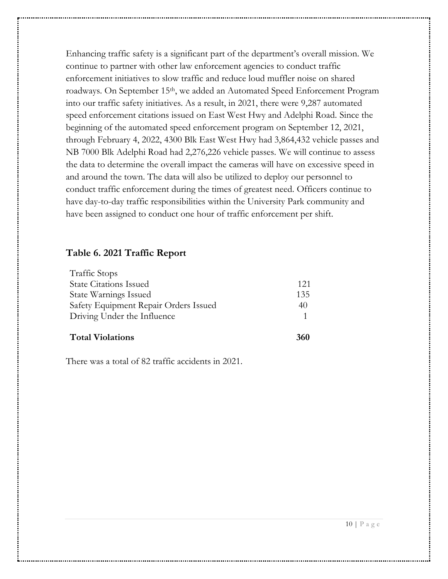Enhancing traffic safety is a significant part of the department's overall mission. We continue to partner with other law enforcement agencies to conduct traffic enforcement initiatives to slow traffic and reduce loud muffler noise on shared roadways. On September 15<sup>th</sup>, we added an Automated Speed Enforcement Program into our traffic safety initiatives. As a result, in 2021, there were 9,287 automated speed enforcement citations issued on East West Hwy and Adelphi Road. Since the beginning of the automated speed enforcement program on September 12, 2021, through February 4, 2022, 4300 Blk East West Hwy had 3,864,432 vehicle passes and NB 7000 Blk Adelphi Road had 2,276,226 vehicle passes. We will continue to assess the data to determine the overall impact the cameras will have on excessive speed in and around the town. The data will also be utilized to deploy our personnel to conduct traffic enforcement during the times of greatest need. Officers continue to have day-to-day traffic responsibilities within the University Park community and have been assigned to conduct one hour of traffic enforcement per shift.

#### **Table 6. 2021 Traffic Report**

| <b>Total Violations</b>               | 360 |
|---------------------------------------|-----|
| Driving Under the Influence           |     |
| Safety Equipment Repair Orders Issued | 40  |
| <b>State Warnings Issued</b>          | 135 |
| <b>State Citations Issued</b>         | 121 |
| <b>Traffic Stops</b>                  |     |

There was a total of 82 traffic accidents in 2021.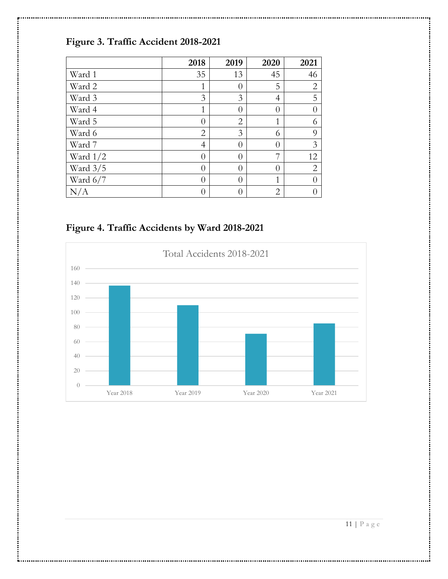# **Figure 3. Traffic Accident 2018-2021**

|            | 2018           | 2019             | 2020           | 2021           |
|------------|----------------|------------------|----------------|----------------|
| Ward 1     | 35             | 13               | 45             | 46             |
| Ward 2     | 1              | $\left( \right)$ | 5              | $\mathbf{2}$   |
| Ward 3     | 3              | 3                | $\overline{4}$ | 5              |
| Ward 4     | $\mathbf{1}$   | $\theta$         | $\theta$       | $\theta$       |
| Ward 5     | $\overline{0}$ | $\overline{2}$   | $\mathbf{1}$   | 6              |
| Ward 6     | $\overline{2}$ | 3                | 6              | 9              |
| Ward 7     | $\overline{4}$ | $\theta$         | $\theta$       | 3              |
| Ward $1/2$ | $\overline{0}$ | $\theta$         | 7              | 12             |
| Ward $3/5$ | $\overline{0}$ | $\theta$         | 0              | $\overline{2}$ |
| Ward $6/7$ | $\overline{0}$ | $\theta$         | $\mathbf{1}$   | 0              |
| N/A        | 0              |                  | 2              |                |

**Figure 4. Traffic Accidents by Ward 2018-2021**

÷.

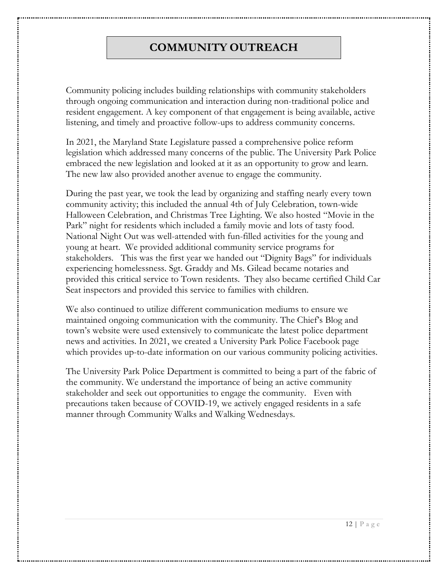## **COMMUNITY OUTREACH**

Community policing includes building relationships with community stakeholders through ongoing communication and interaction during non-traditional police and resident engagement. A key component of that engagement is being available, active listening, and timely and proactive follow-ups to address community concerns.

In 2021, the Maryland State Legislature passed a comprehensive police reform legislation which addressed many concerns of the public. The University Park Police embraced the new legislation and looked at it as an opportunity to grow and learn. The new law also provided another avenue to engage the community.

During the past year, we took the lead by organizing and staffing nearly every town community activity; this included the annual 4th of July Celebration, town-wide Halloween Celebration, and Christmas Tree Lighting. We also hosted "Movie in the Park" night for residents which included a family movie and lots of tasty food. National Night Out was well-attended with fun-filled activities for the young and young at heart. We provided additional community service programs for stakeholders. This was the first year we handed out "Dignity Bags" for individuals experiencing homelessness. Sgt. Graddy and Ms. Gilead became notaries and provided this critical service to Town residents. They also became certified Child Car Seat inspectors and provided this service to families with children.

We also continued to utilize different communication mediums to ensure we maintained ongoing communication with the community. The Chief's Blog and town's website were used extensively to communicate the latest police department news and activities. In 2021, we created a University Park Police Facebook page which provides up-to-date information on our various community policing activities.

The University Park Police Department is committed to being a part of the fabric of the community. We understand the importance of being an active community stakeholder and seek out opportunities to engage the community. Even with precautions taken because of COVID-19, we actively engaged residents in a safe manner through Community Walks and Walking Wednesdays.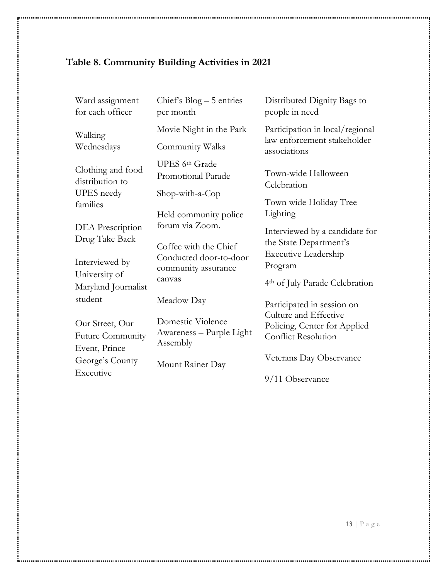# **Table 8. Community Building Activities in 2021**

ъ.,

| Ward assignment<br>for each officer                       | Chief's $Blog - 5$ entries<br>per month                                                     | Distributed Dignity Bags to<br>people in need                                           |
|-----------------------------------------------------------|---------------------------------------------------------------------------------------------|-----------------------------------------------------------------------------------------|
| Walking                                                   | Movie Night in the Park                                                                     | Participation in local/regional<br>law enforcement stakeholder                          |
| Wednesdays                                                | Community Walks                                                                             | associations                                                                            |
| Clothing and food<br>distribution to<br><b>UPES</b> needy | UPES 6th Grade<br>Promotional Parade<br>Shop-with-a-Cop                                     | Town-wide Halloween<br>Celebration                                                      |
| families                                                  |                                                                                             | Town wide Holiday Tree<br>Lighting                                                      |
| DEA Prescription<br>Drug Take Back                        | Held community police<br>forum via Zoom.<br>Coffee with the Chief<br>Conducted door-to-door | Interviewed by a candidate for<br>the State Department's<br><b>Executive Leadership</b> |
| Interviewed by<br>University of                           | community assurance<br>canvas                                                               | Program<br>4 <sup>th</sup> of July Parade Celebration                                   |
| Maryland Journalist<br>student                            | Meadow Day                                                                                  | Participated in session on<br>Culture and Effective                                     |
| Our Street, Our<br>Future Community<br>Event, Prince      | Domestic Violence<br>Awareness - Purple Light<br>Assembly                                   | Policing, Center for Applied<br><b>Conflict Resolution</b>                              |
| George's County<br>Executive                              | Mount Rainer Day                                                                            | Veterans Day Observance                                                                 |
|                                                           |                                                                                             | 9/11 Observance                                                                         |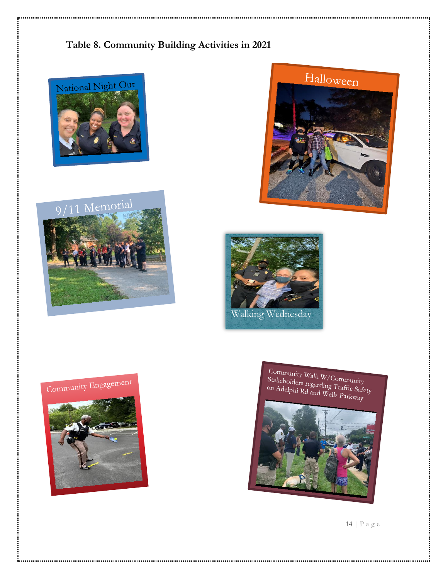#### **Table 8. Community Building Activities in 2021**





**A**. . . .











14 | P a g e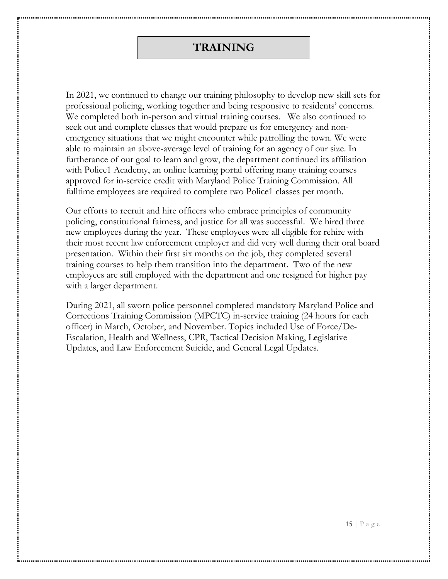#### **TRAINING**

In 2021, we continued to change our training philosophy to develop new skill sets for professional policing, working together and being responsive to residents' concerns. We completed both in-person and virtual training courses. We also continued to seek out and complete classes that would prepare us for emergency and nonemergency situations that we might encounter while patrolling the town. We were able to maintain an above-average level of training for an agency of our size. In furtherance of our goal to learn and grow, the department continued its affiliation with Police1 Academy, an online learning portal offering many training courses approved for in-service credit with Maryland Police Training Commission. All fulltime employees are required to complete two Police1 classes per month.

Our efforts to recruit and hire officers who embrace principles of community policing, constitutional fairness, and justice for all was successful. We hired three new employees during the year. These employees were all eligible for rehire with their most recent law enforcement employer and did very well during their oral board presentation. Within their first six months on the job, they completed several training courses to help them transition into the department. Two of the new employees are still employed with the department and one resigned for higher pay with a larger department.

During 2021, all sworn police personnel completed mandatory Maryland Police and Corrections Training Commission (MPCTC) in-service training (24 hours for each officer) in March, October, and November. Topics included Use of Force/De-Escalation, Health and Wellness, CPR, Tactical Decision Making, Legislative Updates, and Law Enforcement Suicide, and General Legal Updates.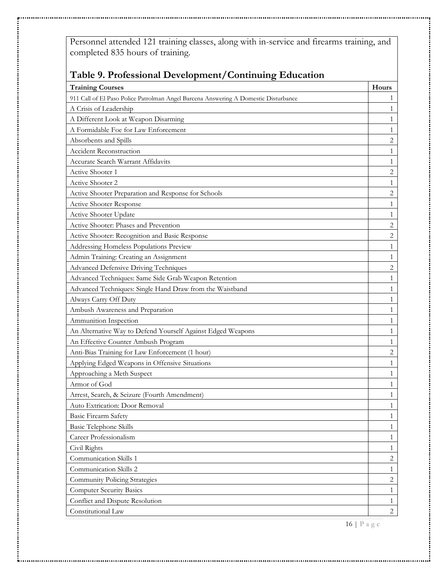Personnel attended 121 training classes, along with in-service and firearms training, and completed 835 hours of training.

| Table 9. Professional Development/Continuing Education                              |                |  |  |
|-------------------------------------------------------------------------------------|----------------|--|--|
| <b>Training Courses</b>                                                             | Hours          |  |  |
| 911 Call of El Paso Police Patrolman Angel Barcena Answering A Domestic Disturbance | 1              |  |  |
| A Crisis of Leadership                                                              | 1              |  |  |
| A Different Look at Weapon Disarming                                                | 1              |  |  |
| A Formidable Foe for Law Enforcement                                                | $\mathbf{1}$   |  |  |
| Absorbents and Spills                                                               | $\overline{2}$ |  |  |
| <b>Accident Reconstruction</b>                                                      | 1              |  |  |
| Accurate Search Warrant Affidavits                                                  | $\mathbf{1}$   |  |  |
| Active Shooter 1                                                                    | $\overline{c}$ |  |  |
| Active Shooter 2                                                                    | $\mathbf{1}$   |  |  |
| Active Shooter Preparation and Response for Schools                                 | 2              |  |  |
| Active Shooter Response                                                             | $\mathbf{1}$   |  |  |
| Active Shooter Update                                                               | 1              |  |  |
| Active Shooter: Phases and Prevention                                               | $\overline{c}$ |  |  |
| Active Shooter: Recognition and Basic Response                                      | $\overline{c}$ |  |  |
| Addressing Homeless Populations Preview                                             | $\mathbf{1}$   |  |  |
| Admin Training: Creating an Assignment                                              | $\mathbf{1}$   |  |  |
| <b>Advanced Defensive Driving Techniques</b>                                        | $\overline{c}$ |  |  |
| Advanced Techniques: Same Side Grab Weapon Retention                                | 1              |  |  |
| Advanced Techniques: Single Hand Draw from the Waistband                            | $\mathbf{1}$   |  |  |
| Always Carry Off Duty                                                               | $\mathbf{1}$   |  |  |
| Ambush Awareness and Preparation                                                    | 1              |  |  |
| Ammunition Inspection                                                               | 1              |  |  |
| An Alternative Way to Defend Yourself Against Edged Weapons                         | $\mathbf{1}$   |  |  |
| An Effective Counter Ambush Program                                                 | 1              |  |  |
| Anti-Bias Training for Law Enforcement (1 hour)                                     | $\overline{c}$ |  |  |
| Applying Edged Weapons in Offensive Situations                                      | 1              |  |  |
| Approaching a Meth Suspect                                                          | 1              |  |  |
| Armor of God                                                                        | $\mathbf{1}$   |  |  |
| Arrest, Search, & Seizure (Fourth Amendment)                                        |                |  |  |
| Auto Extrication: Door Removal                                                      | $\mathbf{1}$   |  |  |
| <b>Basic Firearm Safety</b>                                                         | $\mathbf{1}$   |  |  |
| Basic Telephone Skills                                                              | $\mathbf{1}$   |  |  |
| Career Professionalism                                                              | $\mathbf{1}$   |  |  |
| Civil Rights                                                                        | 1              |  |  |
| Communication Skills 1                                                              | $\overline{c}$ |  |  |
| Communication Skills 2                                                              | $\mathbf{1}$   |  |  |
| <b>Community Policing Strategies</b>                                                | $\overline{c}$ |  |  |
| <b>Computer Security Basics</b>                                                     | $\mathbf{1}$   |  |  |
| Conflict and Dispute Resolution                                                     | 1              |  |  |
| Constitutional Law                                                                  | $\overline{c}$ |  |  |

ъ.,

16 | P a g e

. . . . . . i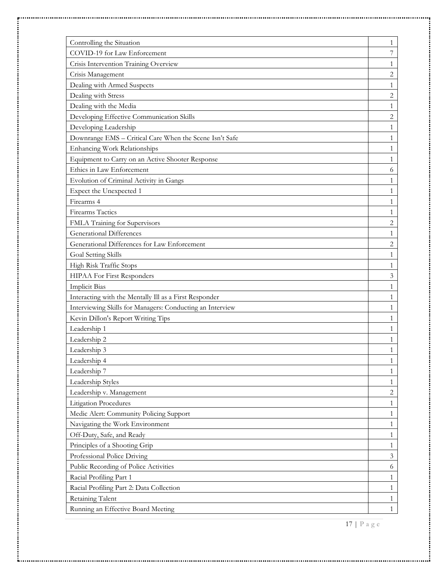| Controlling the Situation                                 | 1              |
|-----------------------------------------------------------|----------------|
| COVID-19 for Law Enforcement                              | 7              |
| Crisis Intervention Training Overview                     | $\mathbf{1}$   |
| Crisis Management                                         | $\overline{c}$ |
| Dealing with Armed Suspects                               | $\mathbf{1}$   |
| Dealing with Stress                                       | 2              |
| Dealing with the Media                                    | $\mathbf{1}$   |
| Developing Effective Communication Skills                 | $\overline{c}$ |
| Developing Leadership                                     | $\mathbf{1}$   |
| Downrange EMS - Critical Care When the Scene Isn't Safe   | $\mathbf{1}$   |
| Enhancing Work Relationships                              | $\mathbf{1}$   |
| Equipment to Carry on an Active Shooter Response          | 1              |
| Ethics in Law Enforcement                                 | 6              |
| Evolution of Criminal Activity in Gangs                   | 1              |
| Expect the Unexpected 1                                   | $\mathbf{1}$   |
| Firearms 4                                                | $\mathbf{1}$   |
| <b>Firearms Tactics</b>                                   | $\mathbf{1}$   |
| FMLA Training for Supervisors                             | 2              |
| <b>Generational Differences</b>                           | $\mathbf{1}$   |
| Generational Differences for Law Enforcement              | $\overline{c}$ |
| Goal Setting Skills                                       | $\mathbf{1}$   |
| High Risk Traffic Stops                                   | $\mathbf{1}$   |
| HIPAA For First Responders                                | 3              |
| <b>Implicit Bias</b>                                      | $\mathbf{1}$   |
| Interacting with the Mentally Ill as a First Responder    | $\mathbf{1}$   |
| Interviewing Skills for Managers: Conducting an Interview | $\mathbf{1}$   |
| Kevin Dillon's Report Writing Tips                        | $\mathbf{1}$   |
| Leadership 1                                              | 1              |
| Leadership 2                                              | 1              |
| Leadership 3                                              | 1              |
| Leadership 4                                              | 1              |
| Leadership 7                                              | 1              |
| Leadership Styles                                         | $\mathbf{1}$   |
| Leadership v. Management                                  | $\overline{c}$ |
| Litigation Procedures                                     | $\mathbf{1}$   |
| Medic Alert: Community Policing Support                   | $\mathbf{1}$   |
| Navigating the Work Environment                           | $\mathbf{1}$   |
| Off-Duty, Safe, and Ready                                 | $\mathbf{1}$   |
| Principles of a Shooting Grip                             | $\mathbf{1}$   |
| Professional Police Driving                               | 3              |
| Public Recording of Police Activities                     | 6              |
| Racial Profiling Part 1                                   | 1              |
| Racial Profiling Part 2: Data Collection                  | $\mathbf{1}$   |
| Retaining Talent                                          | $\mathbf{1}$   |
| Running an Effective Board Meeting                        | $\mathbf{1}$   |
|                                                           |                |

..........

..........

.........

i<br>Participal

17 | P a g e

......i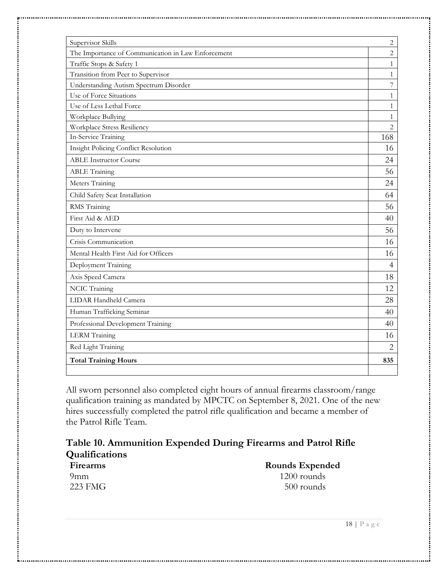| Supervisor Skills                                  | $\sqrt{2}$     |
|----------------------------------------------------|----------------|
| The Importance of Communication in Law Enforcement | $\overline{2}$ |
| Traffic Stops & Safety 1                           | $\mathbf{1}$   |
| Transition from Peer to Supervisor                 | $\mathbf{1}$   |
| Understanding Autism Spectrum Disorder             | $\overline{7}$ |
| Use of Force Situations                            | $\mathbf{1}$   |
| Use of Less Lethal Force                           | $\mathbf{1}$   |
| Workplace Bullying                                 | $\mathbf{1}$   |
| Workplace Stress Resiliency                        | $\overline{c}$ |
| In-Service Training                                | 168            |
| Insight Policing Conflict Resolution               | 16             |
| <b>ABLE Instructor Course</b>                      | 24             |
| <b>ABLE Training</b>                               | 56             |
| Meters Training                                    | 24             |
| Child Safety Seat Installation                     | 64             |
| RMS Training                                       | 56             |
| First Aid & AED                                    | 40             |
| Duty to Intervene                                  | 56             |
| Crisis Communication                               | 16             |
| Mental Health First Aid for Officers               | 16             |
| Deployment Training                                | $\overline{4}$ |
| Axis Speed Camera                                  | 18             |
| NCIC Training                                      | 12             |
| LIDAR Handheld Camera                              | 28             |
| Human Trafficking Seminar                          | 40             |
| Professional Development Training                  | 40             |
| <b>LERM</b> Training                               | 16             |
| Red Light Training                                 | $\overline{2}$ |
| <b>Total Training Hours</b>                        | 835            |
|                                                    |                |

All sworn personnel also completed eight hours of annual firearms classroom/range qualification training as mandated by MPCTC on September 8, 2021. One of the new hires successfully completed the patrol rifle qualification and became a member of the Patrol Rifle Team.

| Table 10. Ammunition Expended During Firearms and Patrol Rifle<br><b>Qualifications</b> |               |
|-----------------------------------------------------------------------------------------|---------------|
|                                                                                         |               |
| 9mm                                                                                     | $1200$ rounds |
| 223 FMG                                                                                 | 500 rounds    |